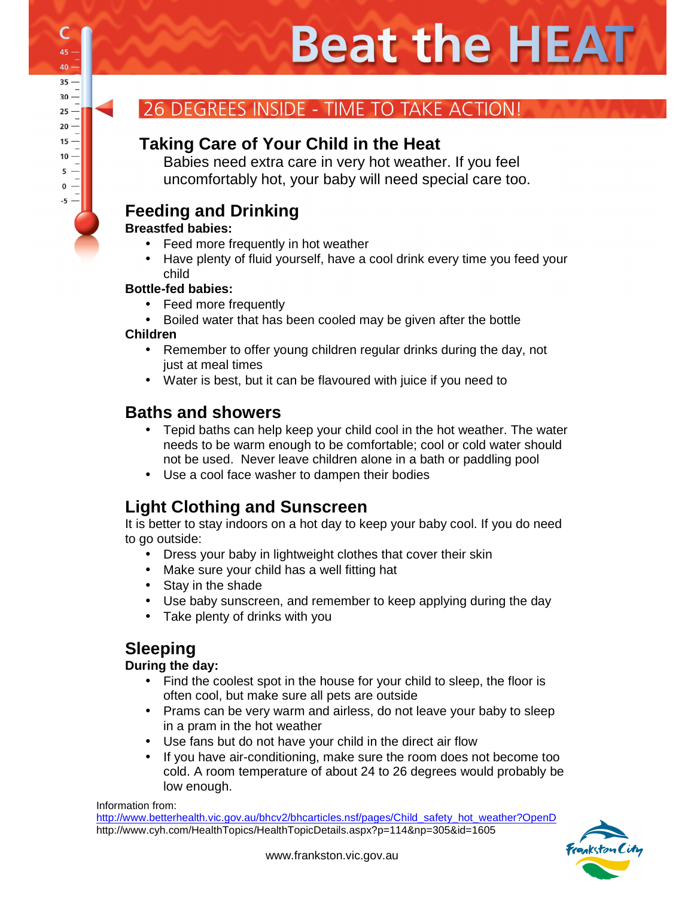# **Beat the HEAT**

## DEGREES INSIDE - TIME TO TAKE ACTION!

## **Taking Care of Your Child in the Heat**

Babies need extra care in very hot weather. If you feel uncomfortably hot, your baby will need special care too.

## **Feeding and Drinking**

#### **Breastfed babies:**

- Feed more frequently in hot weather
- Have plenty of fluid yourself, have a cool drink every time you feed your child

#### **Bottle-fed babies:**

- Feed more frequently
- Boiled water that has been cooled may be given after the bottle

#### **Children**

- Remember to offer young children regular drinks during the day, not just at meal times
- Water is best, but it can be flavoured with juice if you need to

#### **Baths and showers**

- Tepid baths can help keep your child cool in the hot weather. The water needs to be warm enough to be comfortable; cool or cold water should not be used. Never leave children alone in a bath or paddling pool
- Use a cool face washer to dampen their bodies

## **Light Clothing and Sunscreen**

It is better to stay indoors on a hot day to keep your baby cool. If you do need to go outside:

- Dress your baby in lightweight clothes that cover their skin
- Make sure your child has a well fitting hat
- Stay in the shade
- Use baby sunscreen, and remember to keep applying during the day
- Take plenty of drinks with you

## **Sleeping**

#### **During the day:**

- Find the coolest spot in the house for your child to sleep, the floor is often cool, but make sure all pets are outside
- Prams can be very warm and airless, do not leave your baby to sleep in a pram in the hot weather
- Use fans but do not have your child in the direct air flow
- If you have air-conditioning, make sure the room does not become too cold. A room temperature of about 24 to 26 degrees would probably be low enough.

Information from: http://www.betterhealth.vic.gov.au/bhcv2/bhcarticles.nsf/pages/Child\_safety\_hot\_weather?OpenD http://www.cyh.com/HealthTopics/HealthTopicDetails.aspx?p=114&np=305&id=1605